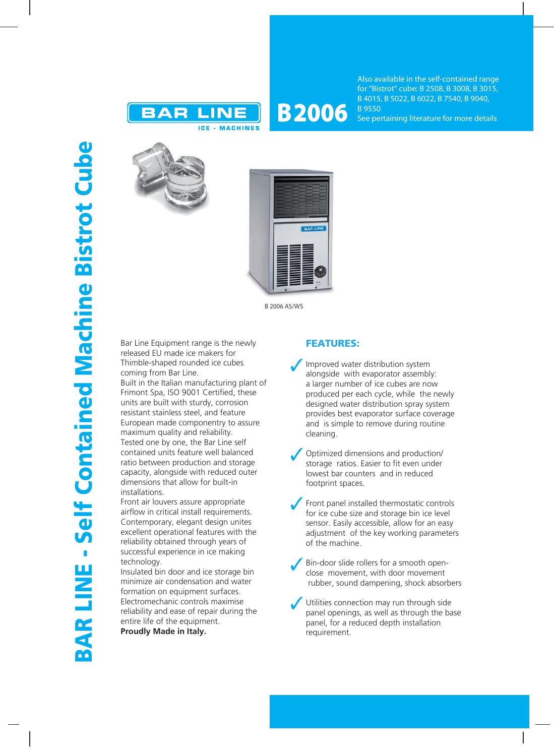

## **B 2006**

Also available in the self-contained range for "Bistrot" cube: B 2508, B 3008, B 3015, B 4015, B 5022, B 6022, B 7540, B 9040, B 9550 See pertaining literature for more details





B 2006 AS/WS

Bar Line Equipment range is the newly released EU made ice makers for Thimble-shaped rounded ice cubes coming from Bar Line.

Built in the Italian manufacturing plant of Frimont Spa, ISO 9001 Certified, these units are built with sturdy, corrosion resistant stainless steel, and feature European made componentry to assure maximum quality and reliability. Tested one by one, the Bar Line self contained units feature well balanced ratio between production and storage capacity, alongside with reduced outer dimensions that allow for built-in installations.

Front air louvers assure appropriate airflow in critical install requirements. Contemporary, elegant design unites excellent operational features with the reliability obtained through years of successful experience in ice making technology.

Insulated bin door and ice storage bin minimize air condensation and water formation on equipment surfaces. Electromechanic controls maximise reliability and ease of repair during the entire life of the equipment. **Proudly Made in Italy.**

## **FEATURES:**

- Improved water distribution system alongside with evaporator assembly: a larger number of ice cubes are now produced per each cycle, while the newly designed water distribution spray system provides best evaporator surface coverage and is simple to remove during routine cleaning.
- Optimized dimensions and production/ storage ratios. Easier to fit even under lowest bar counters and in reduced footprint spaces.
- Front panel installed thermostatic controls for ice cube size and storage bin ice level sensor. Easily accessible, allow for an easy adjustment of the key working parameters of the machine.
- Bin-door slide rollers for a smooth openclose movement, with door movement rubber, sound dampening, shock absorbers
- Utilities connection may run through side panel openings, as well as through the base panel, for a reduced depth installation requirement.